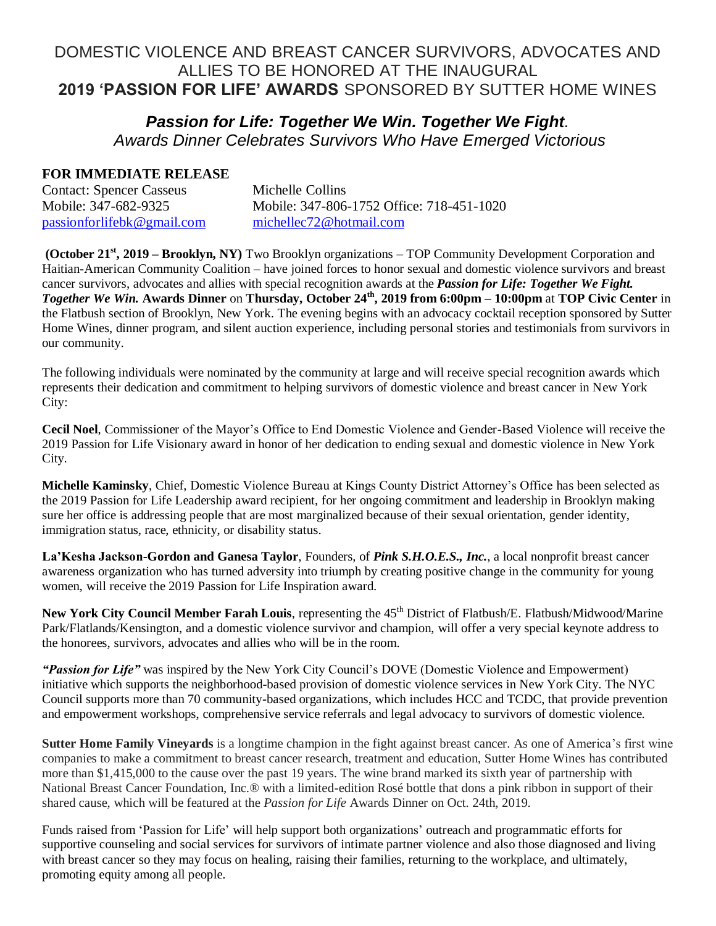# DOMESTIC VIOLENCE AND BREAST CANCER SURVIVORS, ADVOCATES AND ALLIES TO BE HONORED AT THE INAUGURAL **2019 'PASSION FOR LIFE' AWARDS** SPONSORED BY SUTTER HOME WINES

## *Passion for Life: Together We Win. Together We Fight. Awards Dinner Celebrates Survivors Who Have Emerged Victorious*

## **FOR IMMEDIATE RELEASE**

| <b>Contact: Spencer Casseus</b> | Michelle Collins                          |
|---------------------------------|-------------------------------------------|
| Mobile: 347-682-9325            | Mobile: 347-806-1752 Office: 718-451-1020 |
| passionforlifebk@gmail.com      | michellec72@hotmail.com                   |

**(October 21st , 2019 – Brooklyn, NY)** Two Brooklyn organizations – TOP Community Development Corporation and Haitian-American Community Coalition – have joined forces to honor sexual and domestic violence survivors and breast cancer survivors, advocates and allies with special recognition awards at the *Passion for Life: Together We Fight. Together We Win.* **Awards Dinner** on **Thursday, October 24th , 2019 from 6:00pm – 10:00pm** at **TOP Civic Center** in the Flatbush section of Brooklyn, New York. The evening begins with an advocacy cocktail reception sponsored by Sutter Home Wines, dinner program, and silent auction experience, including personal stories and testimonials from survivors in our community.

The following individuals were nominated by the community at large and will receive special recognition awards which represents their dedication and commitment to helping survivors of domestic violence and breast cancer in New York City:

**Cecil Noel**, Commissioner of the Mayor's Office to End Domestic Violence and Gender-Based Violence will receive the 2019 Passion for Life Visionary award in honor of her dedication to ending sexual and domestic violence in New York City.

**Michelle Kaminsky**, Chief, Domestic Violence Bureau at Kings County District Attorney's Office has been selected as the 2019 Passion for Life Leadership award recipient, for her ongoing commitment and leadership in Brooklyn making sure her office is addressing people that are most marginalized because of their sexual orientation, gender identity, immigration status, race, ethnicity, or disability status.

**La'Kesha Jackson-Gordon and Ganesa Taylor**, Founders, of *Pink S.H.O.E.S., Inc.*, a local nonprofit breast cancer awareness organization who has turned adversity into triumph by creating positive change in the community for young women, will receive the 2019 Passion for Life Inspiration award.

New York City Council Member Farah Louis, representing the 45<sup>th</sup> District of Flatbush/E. Flatbush/Midwood/Marine Park/Flatlands/Kensington, and a domestic violence survivor and champion, will offer a very special keynote address to the honorees, survivors, advocates and allies who will be in the room.

*"Passion for Life"* was inspired by the New York City Council's DOVE (Domestic Violence and Empowerment) initiative which supports the neighborhood-based provision of domestic violence services in New York City. The NYC Council supports more than 70 community-based organizations, which includes HCC and TCDC, that provide prevention and empowerment workshops, comprehensive service referrals and legal advocacy to survivors of domestic violence.

**Sutter Home Family Vineyards** is a longtime champion in the fight against breast cancer. As one of America's first wine companies to make a commitment to breast cancer research, treatment and education, Sutter Home Wines has contributed more than \$1,415,000 to the cause over the past 19 years. The wine brand marked its sixth year of partnership with National Breast Cancer Foundation, Inc.® with a limited-edition Rosé bottle that dons a pink ribbon in support of their shared cause, which will be featured at the *Passion for Life* Awards Dinner on Oct. 24th, 2019.

Funds raised from 'Passion for Life' will help support both organizations' outreach and programmatic efforts for supportive counseling and social services for survivors of intimate partner violence and also those diagnosed and living with breast cancer so they may focus on healing, raising their families, returning to the workplace, and ultimately, promoting equity among all people.